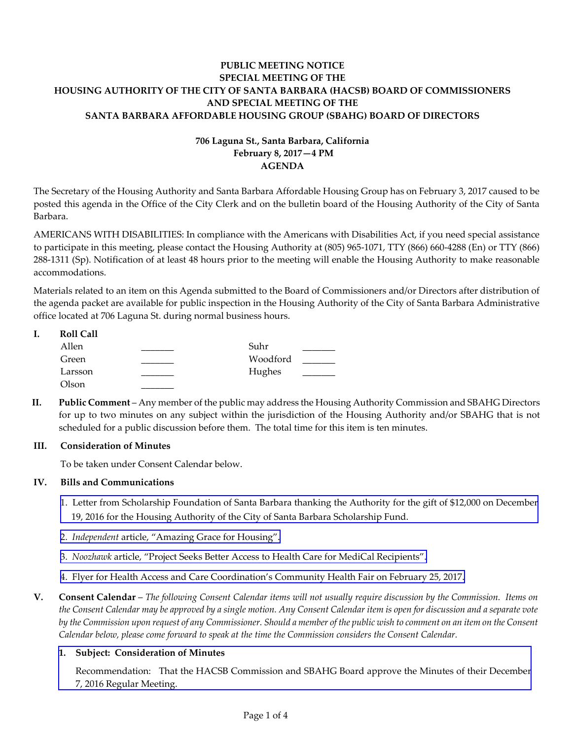# **PUBLIC MEETING NOTICE SPECIAL MEETING OF THE HOUSING AUTHORITY OF THE CITY OF SANTA BARBARA (HACSB) BOARD OF COMMISSIONERS AND SPECIAL MEETING OF THE SANTA BARBARA AFFORDABLE HOUSING GROUP (SBAHG) BOARD OF DIRECTORS**

# **706 Laguna St., Santa Barbara, California February 8, 2017—4 PM AGENDA**

The Secretary of the Housing Authority and Santa Barbara Affordable Housing Group has on February 3, 2017 caused to be posted this agenda in the Office of the City Clerk and on the bulletin board of the Housing Authority of the City of Santa Barbara.

AMERICANS WITH DISABILITIES: In compliance with the Americans with Disabilities Act, if you need special assistance to participate in this meeting, please contact the Housing Authority at (805) 965‐1071, TTY (866) 660‐4288 (En) or TTY (866) 288‐1311 (Sp). Notification of at least 48 hours prior to the meeting will enable the Housing Authority to make reasonable accommodations.

Materials related to an item on this Agenda submitted to the Board of Commissioners and/or Directors after distribution of the agenda packet are available for public inspection in the Housing Authority of the City of Santa Barbara Administrative office located at 706 Laguna St. during normal business hours.

| ı. | <b>Roll Call</b> |          |  |
|----|------------------|----------|--|
|    | Allen            | Suhr     |  |
|    | Green            | Woodford |  |
|    | Larsson          | Hughes   |  |
|    | Olson            |          |  |

**II. Public Comment** – Any member of the public may address the Housing Authority Commission and SBAHG Directors for up to two minutes on any subject within the jurisdiction of the Housing Authority and/or SBAHG that is not scheduled for a public discussion before them. The total time for this item is ten minutes.

## **III. Consideration of Minutes**

To be taken under Consent Calendar below.

## **IV. Bills and Communications**

- 1. Letter from [Scholarship](http://hacsb.org/download/meetings_2017/items_special_meeting/02_february/item_IV_I_2017_02_08.pdf) Foundation of Santa Barbara thanking the Authority for the gift of \$12,000 on December 19, 2016 for the Housing Authority of the City of Santa Barbara Scholarship Fund.
- 2. *[Independent](http://hacsb.org/download/meetings_2017/items_special_meeting/02_february/item_IV_II_2017_02_08.pdf)* article, "Amazing Grace for Housing".
- 3. *Noozhawk* article, "Project Seeks Better Access to Health Care for MediCal [Recipients".](http://hacsb.org/download/meetings_2017/items_special_meeting/02_february/item_IV_III_2017_02_08.pdf)
- 4. Flyer for Health Access and Care [Coordination's](http://hacsb.org/download/meetings_2017/items_special_meeting/02_february/item_IV_IV_2017_02_08.pdf) Community Health Fair on February 25, 2017.
- V. Consent Calendar The following Consent Calendar items will not usually require discussion by the Commission. Items on the Consent Calendar may be approved by a single motion. Any Consent Calendar item is open for discussion and a separate vote by the Commission upon request of any Commissioner. Should a member of the public wish to comment on an item on the Consent *Calendar below, please come forward to speak at the time the Commission considers the Consent Calendar.*

## **1. Subject: Consideration of Minutes**

[Recommendation:](http://hacsb.org/download/meetings_2017/items_special_meeting/02_february/item_V_I_2017_02_08.pdf) That the HACSB Commission and SBAHG Board approve the Minutes of their December 7, 2016 Regular Meeting.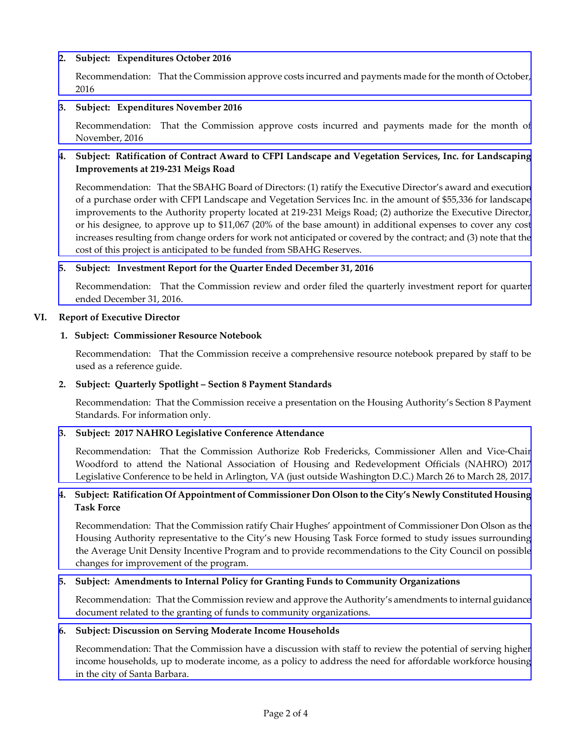## **2. Subject: Expenditures October 2016**

[Recommendation:](http://hacsb.org/download/meetings_2017/items_special_meeting/02_february/item_V_III_2017_02_08.pdf) That the Commission approve costs incurred and payments made for the month of October, 2016

### **3. Subject: Expenditures November 2016**

[Recommendation:](http://hacsb.org/download/meetings_2017/items_special_meeting/02_february/item_V_III_2017_02_08.pdf) That the Commission approve costs incurred and payments made for the month of November, 2016

# **4. Subject: Ratification of Contract Award to CFPI Landscape and Vegetation Services, Inc. for Landscaping Improvements at 219‐231 Meigs Road**

[Recommendation:](http://hacsb.org/download/meetings_2017/items_special_meeting/02_february/item_V_IV_2017_02_08.pdf) That the SBAHG Board of Directors: (1) ratify the Executive Director's award and execution of a purchase order with CFPI Landscape and Vegetation Services Inc. in the amount of \$55,336 for landscape improvements to the Authority property located at 219‐231 Meigs Road; (2) authorize the Executive Director, or his designee, to approve up to \$11,067 (20% of the base amount) in additional expenses to cover any cost increases resulting from change orders for work not anticipated or covered by the contract; and (3) note that the cost of this project is anticipated to be funded from SBAHG Reserves.

## **5. Subject: Investment Report for the Quarter Ended December 31, 2016**

[Recommendation:](http://hacsb.org/download/meetings_2017/items_special_meeting/02_february/item_V_V_2017_02_08.pdf) That the Commission review and order filed the quarterly investment report for quarter ended December 31, 2016.

### **VI. Report of Executive Director**

### **1. Subject: Commissioner Resource Notebook**

Recommendation: That the Commission receive a comprehensive resource notebook prepared by staff to be used as a reference guide.

## **2. Subject: Quarterly Spotlight – Section 8 Payment Standards**

 Recommendation: That the Commission receive a presentation on the Housing Authority's Section 8 Payment Standards. For information only.

## **3. Subject: 2017 NAHRO Legislative Conference Attendance**

[Recommendation:](http://hacsb.org/download/meetings_2017/items_special_meeting/02_february/item_VI_III_2017_02_08.pdf) That the Commission Authorize Rob Fredericks, Commissioner Allen and Vice‐Chair Woodford to attend the National Association of Housing and Redevelopment Officials (NAHRO) 2017 Legislative Conference to be held in Arlington, VA (just outside Washington D.C.) March 26 to March 28, 2017.

## 4. Subject: Ratification Of Appointment of Commissioner Don Olson to the City's Newly Constituted Housing  **Task Force**

[Recommendation:](http://hacsb.org/download/meetings_2017/items_special_meeting/02_february/item_VI_IV_2017_02_08.pdf) That the Commission ratify Chair Hughes' appointment of Commissioner Don Olson as the Housing Authority representative to the City's new Housing Task Force formed to study issues surrounding the Average Unit Density Incentive Program and to provide recommendations to the City Council on possible changes for improvement of the program.

## **5. Subject: Amendments to Internal Policy for Granting Funds to Community Organizations**

[Recommendation:](http://hacsb.org/download/meetings_2017/items_special_meeting/02_february/item_VI_V_2017_02_08.pdf) That the Commission review and approve the Authority's amendments to internal guidance document related to the granting of funds to community organizations.

#### **6. Subject: Discussion on Serving Moderate Income Households**

[Recommendation:](http://hacsb.org/download/meetings_2017/items_special_meeting/02_february/item_VI_VI_2017_02_08.pdf) That the Commission have a discussion with staff to review the potential of serving higher income households, up to moderate income, as a policy to address the need for affordable workforce housing in the city of Santa Barbara.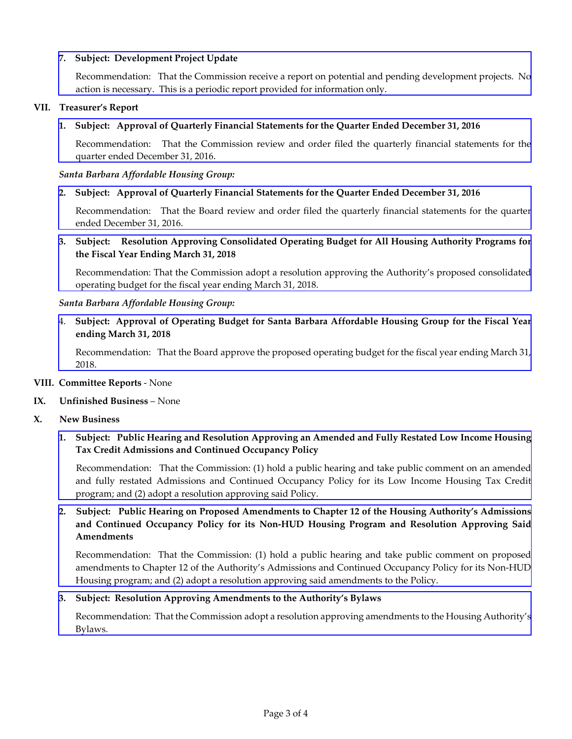## **7. Subject: Development Project Update**

[Recommendation:](http://hacsb.org/download/meetings_2017/items_special_meeting/02_february/item_VI_VII_2017_02_08.pdf) That the Commission receive a report on potential and pending development projects. No action is necessary. This is a periodic report provided for information only.

### **VII. Treasurer's Report**

## **1. Subject: Approval of Quarterly Financial Statements for the Quarter Ended December 31, 2016**

[Recommendation:](http://hacsb.org/download/meetings_2017/items_special_meeting/02_february/item_VII_I_2017_02_08.pdf) That the Commission review and order filed the quarterly financial statements for the quarter ended December 31, 2016.

### *Santa Barbara Affordable Housing Group:*

## **2. Subject: Approval of Quarterly Financial Statements for the Quarter Ended December 31, 2016**

[Recommendation:](http://hacsb.org/download/meetings_2017/items_special_meeting/02_february/item_VII_II_2017_02_08.pdf) That the Board review and order filed the quarterly financial statements for the quarter ended December 31, 2016.

**3. Subject: Resolution Approving Consolidated Operating Budget for All Housing Authority Programs for the Fiscal Year Ending March 31, 2018**

[Recommendation:](http://hacsb.org/download/meetings_2017/items_special_meeting/02_february/item_VII_III_2017_02_08.pdf) That the Commission adopt a resolution approving the Authority's proposed consolidated operating budget for the fiscal year ending March 31, 2018.

### *Santa Barbara Affordable Housing Group:*

4. **Subject: Approval of Operating Budget for Santa Barbara Affordable Housing Group for the Fiscal Year ending March 31, 2018**

[Recommendation:](http://hacsb.org/download/meetings_2017/items_special_meeting/02_february/item_VII_IV_2017_02_08.pdf) That the Board approve the proposed operating budget for the fiscal year ending March 31, 2018.

#### **VIII. Committee Reports** ‐ None

#### **IX. Unfinished Business** – None

#### **X. New Business**

# 1. Subject: Public Hearing and Resolution Approving an Amended and Fully Restated Low Income Housing **Tax Credit Admissions and Continued Occupancy Policy**

 [Recommendation:](http://hacsb.org/download/meetings_2017/items_special_meeting/02_february/item_X_I_2017_02_08.pdf) That the Commission: (1) hold a public hearing and take public comment on an amended and fully restated Admissions and Continued Occupancy Policy for its Low Income Housing Tax Credit program; and (2) adopt a resolution approving said Policy.

# 2. Subject: Public Hearing on Proposed Amendments to Chapter 12 of the Housing Authority's Admissions **and Continued Occupancy Policy for its Non‐HUD Housing Program and Resolution Approving Said Amendments**

 [Recommendation:](http://hacsb.org/download/meetings_2017/items_special_meeting/02_february/item_X_II_2017_02_08.pdf) That the Commission: (1) hold a public hearing and take public comment on proposed amendments to Chapter 12 of the Authority's Admissions and Continued Occupancy Policy for its Non‐HUD Housing program; and (2) adopt a resolution approving said amendments to the Policy.

#### **3. Subject: Resolution Approving Amendments to the Authority's Bylaws**

[Recommendation:](http://hacsb.org/download/meetings_2017/items_special_meeting/02_february/item_X_III_2017_02_08.pdf) That the Commission adopt a resolution approving amendments to the Housing Authority's Bylaws.